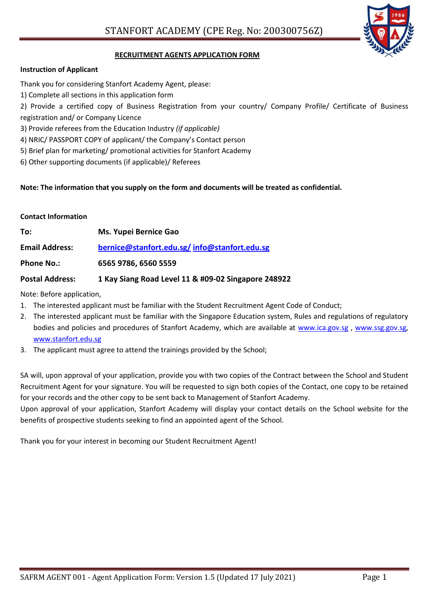

## **RECRUITMENT AGENTS APPLICATION FORM**

## **Instruction of Applicant**

Thank you for considering Stanfort Academy Agent, please:

1) Complete all sections in this application form

2) Provide a certified copy of Business Registration from your country/ Company Profile/ Certificate of Business registration and/ or Company Licence

- 3) Provide referees from the Education Industry *(if applicable)*
- 4) NRIC/ PASSPORT COPY of applicant/ the Company's Contact person
- 5) Brief plan for marketing/ promotional activities for Stanfort Academy
- 6) Other supporting documents (if applicable)/ Referees

## **Note: The information that you supply on the form and documents will be treated as confidential.**

#### **Contact Information**

| To:                   | <b>Ms. Yupei Bernice Gao</b>                 |
|-----------------------|----------------------------------------------|
| <b>Email Address:</b> | bernice@stanfort.edu.sg/info@stanfort.edu.sg |
| <b>Phone No.:</b>     | 6565 9786, 6560 5559                         |
|                       |                                              |

## **Postal Address: 1 Kay Siang Road Level 11 & #09-02 Singapore 248922**

Note: Before application,

- 1. The interested applicant must be familiar with the Student Recruitment Agent Code of Conduct;
- 2. The interested applicant must be familiar with the Singapore Education system, Rules and regulations of regulatory bodies and policies and procedures of Stanfort Academy, which are available at [www.ica.gov.sg](http://www.ica.gov.sg/) , [www.ssg.gov.sg,](http://www.ssg.gov.sg/) [www.stanfort.edu.sg](http://www.stanfort.edu.sg/)
- 3. The applicant must agree to attend the trainings provided by the School;

SA will, upon approval of your application, provide you with two copies of the Contract between the School and Student Recruitment Agent for your signature. You will be requested to sign both copies of the Contact, one copy to be retained for your records and the other copy to be sent back to Management of Stanfort Academy.

Upon approval of your application, Stanfort Academy will display your contact details on the School website for the benefits of prospective students seeking to find an appointed agent of the School.

Thank you for your interest in becoming our Student Recruitment Agent!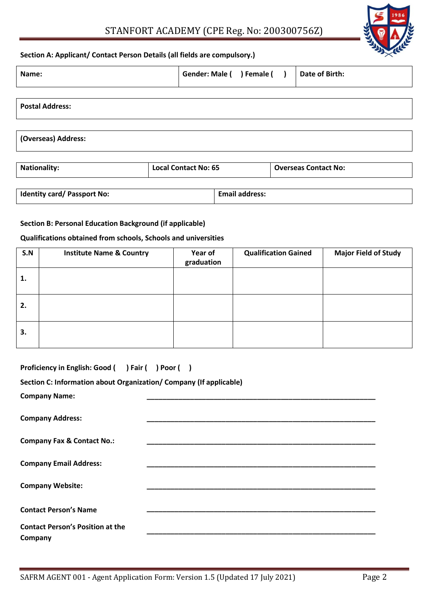# STANFORT ACADEMY (CPE Reg. No: 200300756Z)



#### **Section A: Applicant/ Contact Person Details (all fields are compulsory.)**

| Name:                  | Gender: Male ( ) Female ( ) |  | Date of Birth: |
|------------------------|-----------------------------|--|----------------|
|                        |                             |  |                |
| <b>Postal Address:</b> |                             |  |                |
|                        |                             |  |                |
| (Overseas) Address:    |                             |  |                |
|                        |                             |  |                |

| <b>Nationality:</b>                | <b>Local Contact No: 65</b> |                       | <b>Overseas Contact No:</b> |
|------------------------------------|-----------------------------|-----------------------|-----------------------------|
|                                    |                             |                       |                             |
| <b>Identity card/ Passport No:</b> |                             | <b>Email address:</b> |                             |

## **Section B: Personal Education Background (if applicable)**

## **Qualifications obtained from schools, Schools and universities**

| S.N | <b>Institute Name &amp; Country</b> | Year of<br>graduation | <b>Qualification Gained</b> | <b>Major Field of Study</b> |
|-----|-------------------------------------|-----------------------|-----------------------------|-----------------------------|
| 1.  |                                     |                       |                             |                             |
| 2.  |                                     |                       |                             |                             |
| 3.  |                                     |                       |                             |                             |

| Proficiency in English: Good ( ) Fair ( ) Poor ( )                 |                                                                     |  |  |  |  |
|--------------------------------------------------------------------|---------------------------------------------------------------------|--|--|--|--|
| Section C: Information about Organization/ Company (If applicable) |                                                                     |  |  |  |  |
| <b>Company Name:</b>                                               | <u> 1989 - Johann Stein, mars an deus Amerikaansk kommunister (</u> |  |  |  |  |
| <b>Company Address:</b>                                            |                                                                     |  |  |  |  |
| <b>Company Fax &amp; Contact No.:</b>                              |                                                                     |  |  |  |  |
| <b>Company Email Address:</b>                                      |                                                                     |  |  |  |  |
| <b>Company Website:</b>                                            |                                                                     |  |  |  |  |
| <b>Contact Person's Name</b>                                       |                                                                     |  |  |  |  |
| <b>Contact Person's Position at the</b><br>Company                 |                                                                     |  |  |  |  |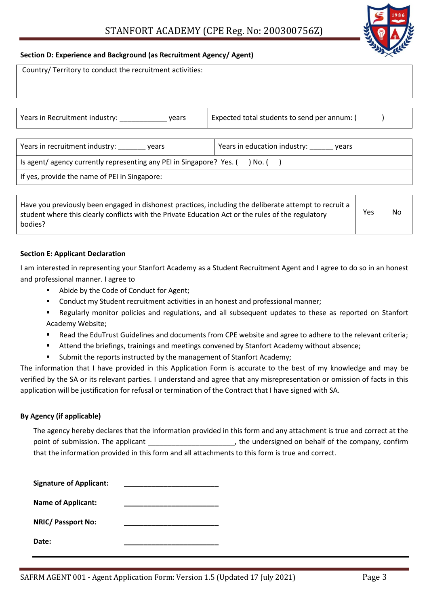

#### **Section D: Experience and Background (as Recruitment Agency/ Agent)**

| Country/ Territory to conduct the recruitment activities:                          |                                              |  |  |  |
|------------------------------------------------------------------------------------|----------------------------------------------|--|--|--|
|                                                                                    |                                              |  |  |  |
| Years in Recruitment industry: vears                                               | Expected total students to send per annum: ( |  |  |  |
|                                                                                    |                                              |  |  |  |
| Years in recruitment industry: vears                                               | Years in education industry: years           |  |  |  |
| Is agent/ agency currently representing any PEI in Singapore? Yes. $($ ) No. $($ ) |                                              |  |  |  |
| If yes, provide the name of PEI in Singapore:                                      |                                              |  |  |  |
|                                                                                    |                                              |  |  |  |

| Have you previously been engaged in dishonest practices, including the deliberate attempt to recruit a<br>student where this clearly conflicts with the Private Education Act or the rules of the regulatory | <b>Yes</b> | No |
|--------------------------------------------------------------------------------------------------------------------------------------------------------------------------------------------------------------|------------|----|
| bodies?                                                                                                                                                                                                      |            |    |

## **Section E: Applicant Declaration**

I am interested in representing your Stanfort Academy as a Student Recruitment Agent and I agree to do so in an honest and professional manner. I agree to

- Abide by the Code of Conduct for Agent;
- Conduct my Student recruitment activities in an honest and professional manner;
- Regularly monitor policies and regulations, and all subsequent updates to these as reported on Stanfort Academy Website;
- Read the EduTrust Guidelines and documents from CPE website and agree to adhere to the relevant criteria;
- Attend the briefings, trainings and meetings convened by Stanfort Academy without absence;
- **Submit the reports instructed by the management of Stanfort Academy;**

The information that I have provided in this Application Form is accurate to the best of my knowledge and may be verified by the SA or its relevant parties. I understand and agree that any misrepresentation or omission of facts in this application will be justification for refusal or termination of the Contract that I have signed with SA.

## **By Agency (if applicable)**

The agency hereby declares that the information provided in this form and any attachment is true and correct at the point of submission. The applicant  $\qquad \qquad$  the undersigned on behalf of the company, confirm that the information provided in this form and all attachments to this form is true and correct.

| <b>Signature of Applicant:</b> |  |
|--------------------------------|--|
| <b>Name of Applicant:</b>      |  |
| <b>NRIC/ Passport No:</b>      |  |
| Date:                          |  |